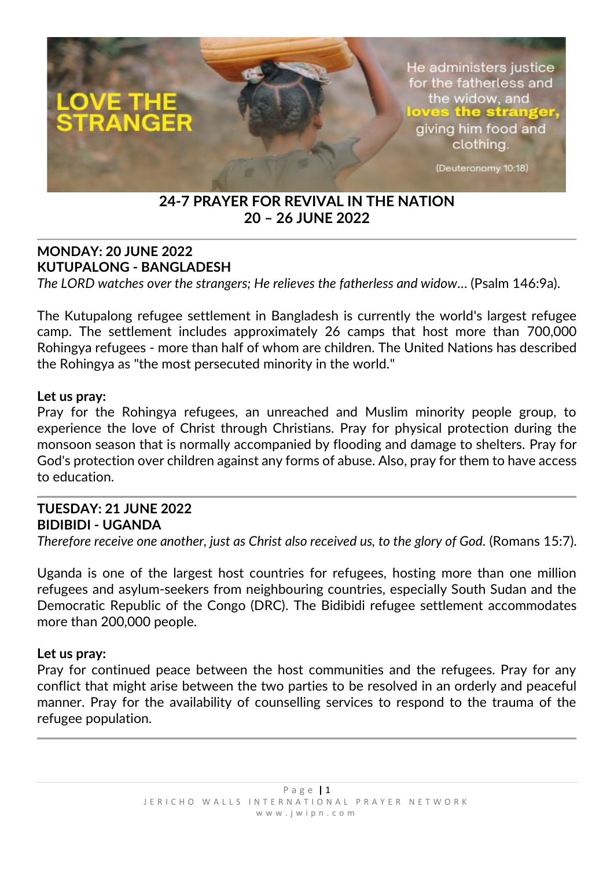

# **24-7 PRAYER FOR REVIVAL IN THE NATION 20 – 26 JUNE 2022**

### **MONDAY: 20 JUNE 2022 KUTUPALONG - BANGLADESH** *The LORD watches over the strangers; He relieves the fatherless and widow…* (Psalm 146:9a).

The Kutupalong refugee settlement in Bangladesh is currently the world's largest refugee camp. The settlement includes approximately 26 camps that host more than 700,000 Rohingya refugees - more than half of whom are children. The United Nations has described the Rohingya as "the most persecuted minority in the world."

### **Let us pray:**

Pray for the Rohingya refugees, an unreached and Muslim minority people group, to experience the love of Christ through Christians. Pray for physical protection during the monsoon season that is normally accompanied by flooding and damage to shelters. Pray for God's protection over children against any forms of abuse. Also, pray for them to have access to education.

### **TUESDAY: 21 JUNE 2022 BIDIBIDI - UGANDA**

*Therefore receive one another, just as Christ also received us, to the glory of God.* (Romans 15:7).

Uganda is one of the largest host countries for refugees, hosting more than one million refugees and asylum-seekers from neighbouring countries, especially South Sudan and the Democratic Republic of the Congo (DRC). The Bidibidi refugee settlement accommodates more than 200,000 people.

#### **Let us pray:**

Pray for continued peace between the host communities and the refugees. Pray for any conflict that might arise between the two parties to be resolved in an orderly and peaceful manner. Pray for the availability of counselling services to respond to the trauma of the refugee population.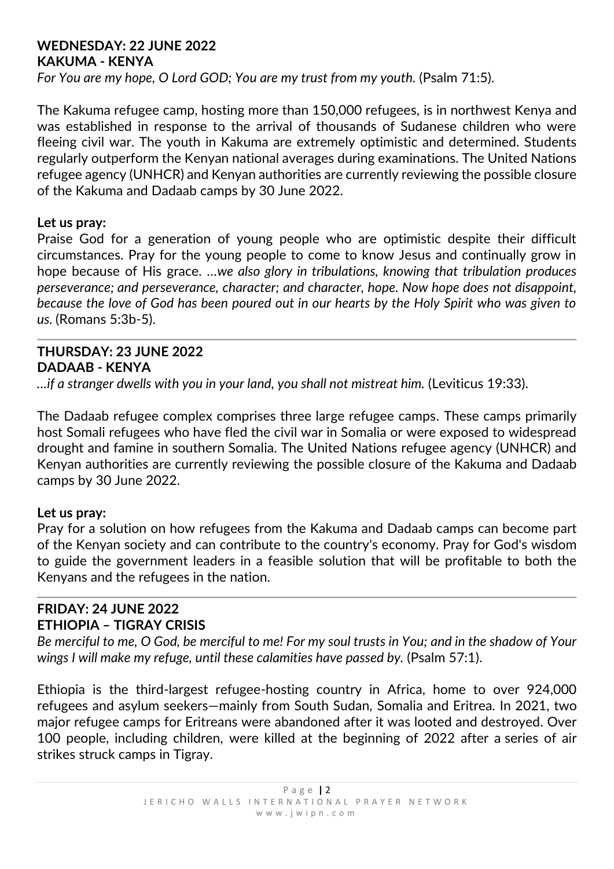### **WEDNESDAY: 22 JUNE 2022 KAKUMA - KENYA**

*For You are my hope, O Lord GOD; You are my trust from my youth.* (Psalm 71:5).

The Kakuma refugee camp, hosting more than 150,000 refugees, is in northwest Kenya and was established in response to the arrival of thousands of Sudanese children who were fleeing civil war. The youth in Kakuma are extremely optimistic and determined. Students regularly outperform the Kenyan national averages during examinations. The United Nations refugee agency (UNHCR) and Kenyan authorities are currently reviewing the possible closure of the Kakuma and Dadaab camps by 30 June 2022.

### **Let us pray:**

Praise God for a generation of young people who are optimistic despite their difficult circumstances. Pray for the young people to come to know Jesus and continually grow in hope because of His grace. *…we also glory in tribulations, knowing that tribulation produces perseverance; and perseverance, character; and character, hope. Now hope does not disappoint, because the love of God has been poured out in our hearts by the Holy Spirit who was given to us.* (Romans 5:3b-5).

### **THURSDAY: 23 JUNE 2022 DADAAB - KENYA**

*…if a stranger dwells with you in your land, you shall not mistreat him.* (Leviticus 19:33).

The Dadaab refugee complex comprises three large refugee camps. These camps primarily host Somali refugees who have fled the civil war in Somalia or were exposed to widespread drought and famine in southern Somalia. The United Nations refugee agency (UNHCR) and Kenyan authorities are currently reviewing the possible closure of the Kakuma and Dadaab camps by 30 June 2022.

### **Let us pray:**

Pray for a solution on how refugees from the Kakuma and Dadaab camps can become part of the Kenyan society and can contribute to the country's economy. Pray for God's wisdom to guide the government leaders in a feasible solution that will be profitable to both the Kenyans and the refugees in the nation.

### **FRIDAY: 24 JUNE 2022 ETHIOPIA – TIGRAY CRISIS**

*Be merciful to me, O God, be merciful to me! For my soul trusts in You; and in the shadow of Your wings I will make my refuge, until these calamities have passed by.* (Psalm 57:1).

Ethiopia is the third-largest refugee-hosting country in Africa, home to over 924,000 refugees and asylum seekers—mainly from South Sudan, Somalia and Eritrea. In 2021, two major refugee camps for Eritreans were abandoned after it was looted and destroyed. Over 100 people, including children, were killed at the beginning of 2022 after a series of air strikes struck camps in Tigray.